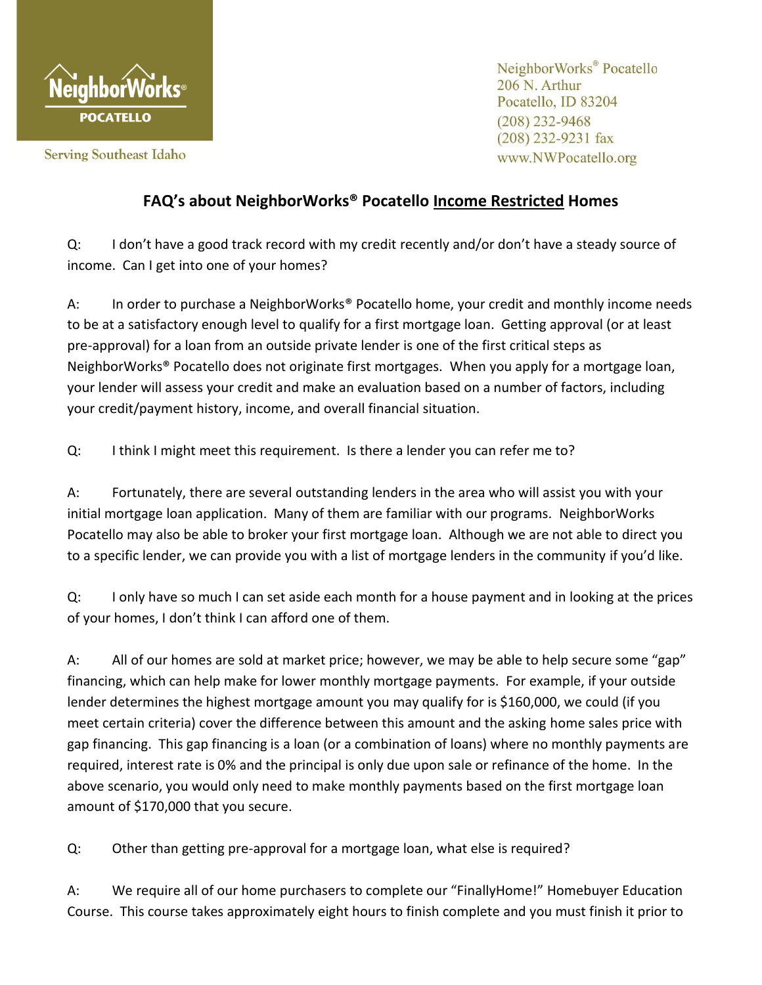

**Serving Southeast Idaho** 

NeighborWorks<sup>®</sup> Pocatello 206 N. Arthur Pocatello, ID 83204  $(208)$  232-9468  $(208)$  232-9231 fax www.NWPocatello.org

## **FAQ's about NeighborWorks® Pocatello Income Restricted Homes**

Q: I don't have a good track record with my credit recently and/or don't have a steady source of income. Can I get into one of your homes?

A: In order to purchase a NeighborWorks<sup>®</sup> Pocatello home, your credit and monthly income needs to be at a satisfactory enough level to qualify for a first mortgage loan. Getting approval (or at least pre-approval) for a loan from an outside private lender is one of the first critical steps as NeighborWorks® Pocatello does not originate first mortgages. When you apply for a mortgage loan, your lender will assess your credit and make an evaluation based on a number of factors, including your credit/payment history, income, and overall financial situation.

Q: I think I might meet this requirement. Is there a lender you can refer me to?

A: Fortunately, there are several outstanding lenders in the area who will assist you with your initial mortgage loan application. Many of them are familiar with our programs. NeighborWorks Pocatello may also be able to broker your first mortgage loan. Although we are not able to direct you to a specific lender, we can provide you with a list of mortgage lenders in the community if you'd like.

Q: I only have so much I can set aside each month for a house payment and in looking at the prices of your homes, I don't think I can afford one of them.

A: All of our homes are sold at market price; however, we may be able to help secure some "gap" financing, which can help make for lower monthly mortgage payments. For example, if your outside lender determines the highest mortgage amount you may qualify for is \$160,000, we could (if you meet certain criteria) cover the difference between this amount and the asking home sales price with gap financing. This gap financing is a loan (or a combination of loans) where no monthly payments are required, interest rate is 0% and the principal is only due upon sale or refinance of the home. In the above scenario, you would only need to make monthly payments based on the first mortgage loan amount of \$170,000 that you secure.

Q: Other than getting pre-approval for a mortgage loan, what else is required?

A: We require all of our home purchasers to complete our "FinallyHome!" Homebuyer Education Course. This course takes approximately eight hours to finish complete and you must finish it prior to